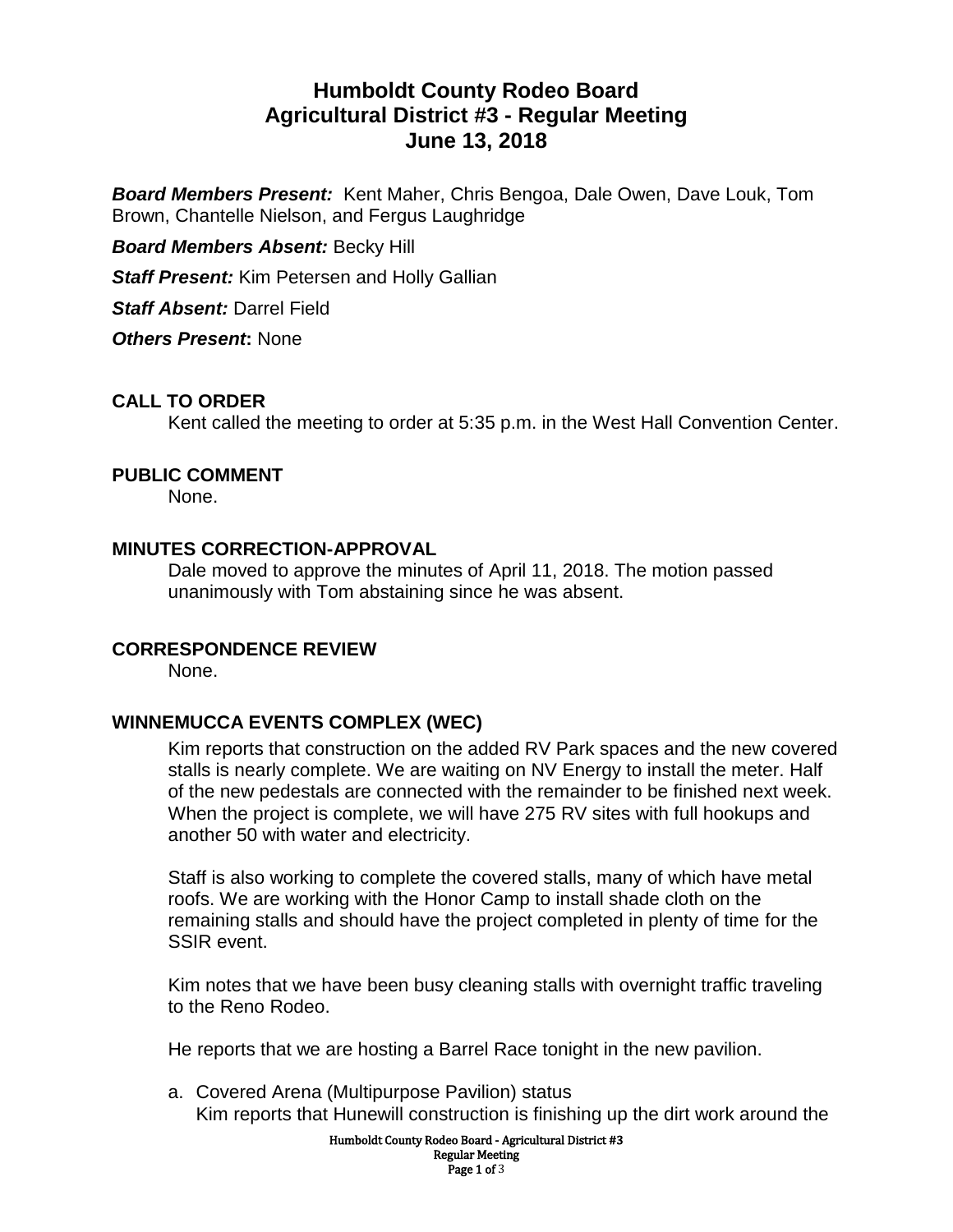# **Humboldt County Rodeo Board Agricultural District #3 - Regular Meeting June 13, 2018**

*Board Members Present:* Kent Maher, Chris Bengoa, Dale Owen, Dave Louk, Tom Brown, Chantelle Nielson, and Fergus Laughridge

*Board Members Absent:* Becky Hill

*Staff Present:* Kim Petersen and Holly Gallian

*Staff Absent:* Darrel Field

*Others Present***:** None

# **CALL TO ORDER**

Kent called the meeting to order at 5:35 p.m. in the West Hall Convention Center.

## **PUBLIC COMMENT**

None.

## **MINUTES CORRECTION-APPROVAL**

Dale moved to approve the minutes of April 11, 2018. The motion passed unanimously with Tom abstaining since he was absent.

## **CORRESPONDENCE REVIEW**

None.

# **WINNEMUCCA EVENTS COMPLEX (WEC)**

Kim reports that construction on the added RV Park spaces and the new covered stalls is nearly complete. We are waiting on NV Energy to install the meter. Half of the new pedestals are connected with the remainder to be finished next week. When the project is complete, we will have 275 RV sites with full hookups and another 50 with water and electricity.

Staff is also working to complete the covered stalls, many of which have metal roofs. We are working with the Honor Camp to install shade cloth on the remaining stalls and should have the project completed in plenty of time for the SSIR event.

Kim notes that we have been busy cleaning stalls with overnight traffic traveling to the Reno Rodeo.

He reports that we are hosting a Barrel Race tonight in the new pavilion.

a. Covered Arena (Multipurpose Pavilion) status Kim reports that Hunewill construction is finishing up the dirt work around the

> Humboldt County Rodeo Board - Agricultural District #3 Regular Meeting Page 1 of 3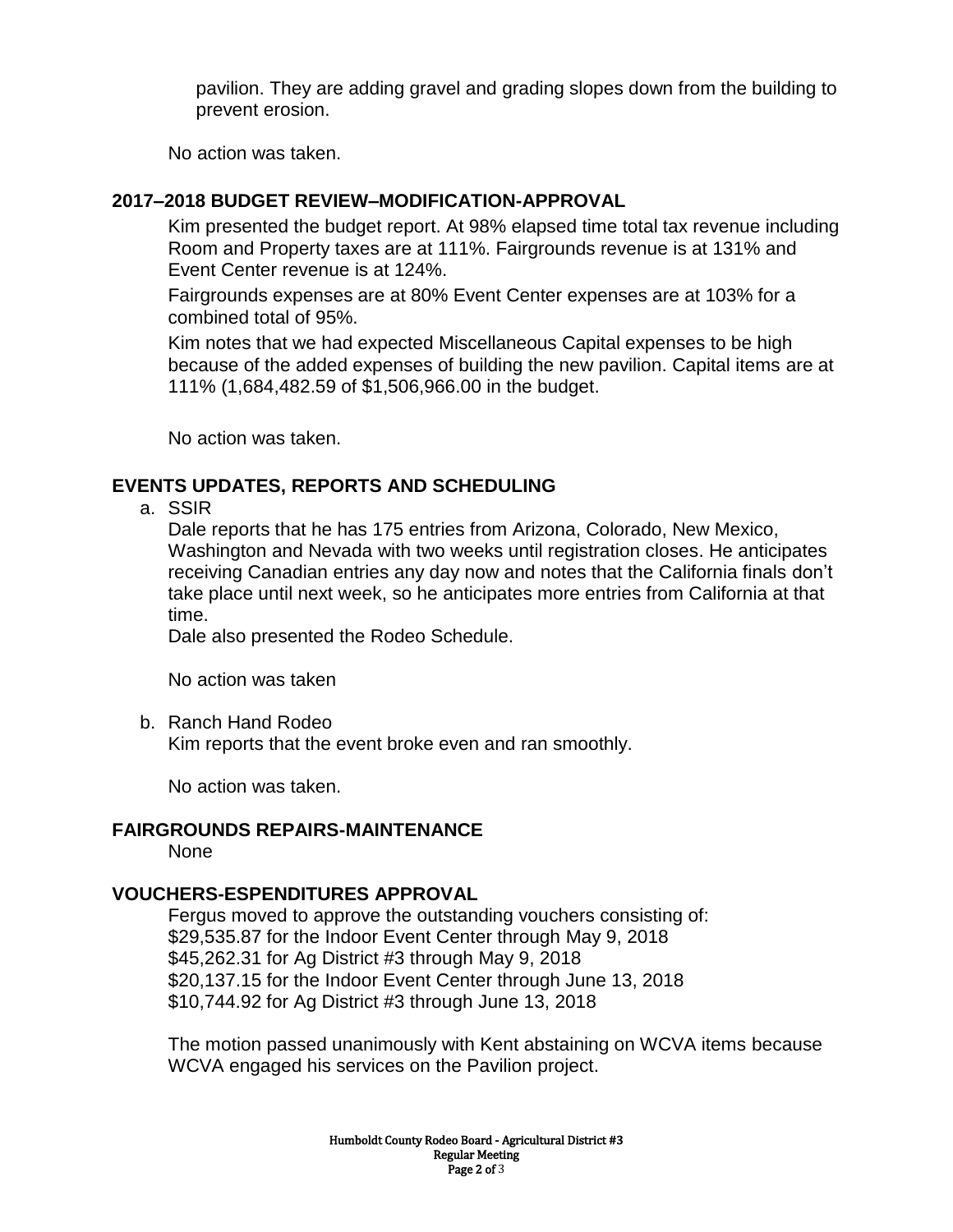pavilion. They are adding gravel and grading slopes down from the building to prevent erosion.

No action was taken.

## **2017–2018 BUDGET REVIEW–MODIFICATION-APPROVAL**

Kim presented the budget report. At 98% elapsed time total tax revenue including Room and Property taxes are at 111%. Fairgrounds revenue is at 131% and Event Center revenue is at 124%.

Fairgrounds expenses are at 80% Event Center expenses are at 103% for a combined total of 95%.

Kim notes that we had expected Miscellaneous Capital expenses to be high because of the added expenses of building the new pavilion. Capital items are at 111% (1,684,482.59 of \$1,506,966.00 in the budget.

No action was taken.

## **EVENTS UPDATES, REPORTS AND SCHEDULING**

a. SSIR

Dale reports that he has 175 entries from Arizona, Colorado, New Mexico, Washington and Nevada with two weeks until registration closes. He anticipates receiving Canadian entries any day now and notes that the California finals don't take place until next week, so he anticipates more entries from California at that time.

Dale also presented the Rodeo Schedule.

No action was taken

b. Ranch Hand Rodeo

Kim reports that the event broke even and ran smoothly.

No action was taken.

## **FAIRGROUNDS REPAIRS-MAINTENANCE**

None

## **VOUCHERS-ESPENDITURES APPROVAL**

Fergus moved to approve the outstanding vouchers consisting of: \$29,535.87 for the Indoor Event Center through May 9, 2018 \$45,262.31 for Ag District #3 through May 9, 2018 \$20,137.15 for the Indoor Event Center through June 13, 2018 \$10,744.92 for Ag District #3 through June 13, 2018

The motion passed unanimously with Kent abstaining on WCVA items because WCVA engaged his services on the Pavilion project.